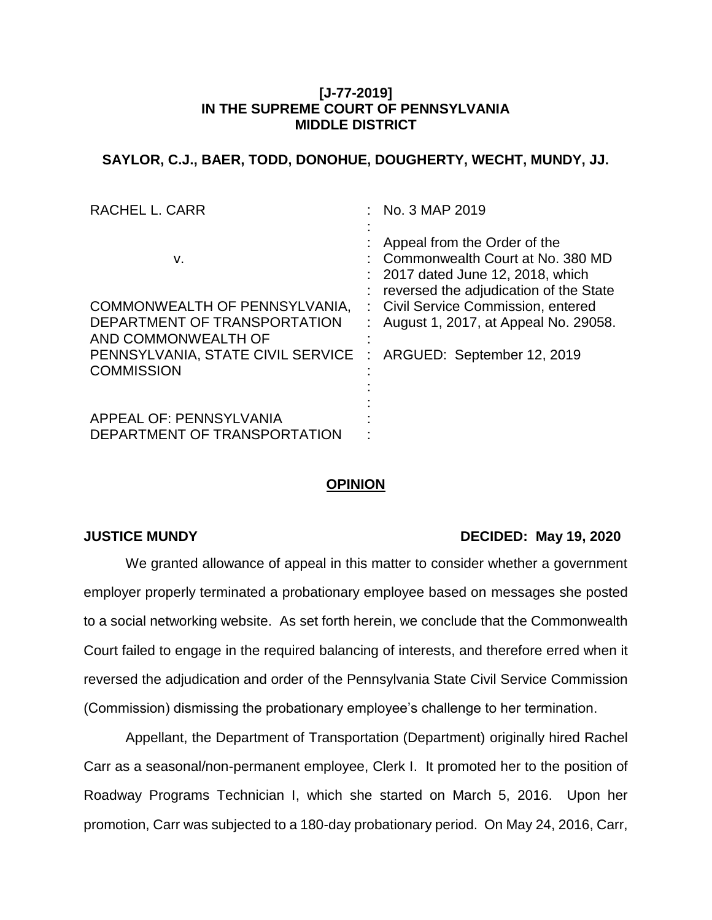## **[J-77-2019] IN THE SUPREME COURT OF PENNSYLVANIA MIDDLE DISTRICT**

## **SAYLOR, C.J., BAER, TODD, DONOHUE, DOUGHERTY, WECHT, MUNDY, JJ.**

| <b>RACHEL L. CARR</b>                                   | No. 3 MAP 2019                                                                                                                                |
|---------------------------------------------------------|-----------------------------------------------------------------------------------------------------------------------------------------------|
| v.                                                      | Appeal from the Order of the<br>Commonwealth Court at No. 380 MD<br>2017 dated June 12, 2018, which<br>reversed the adjudication of the State |
| COMMONWEALTH OF PENNSYLVANIA,                           | : Civil Service Commission, entered                                                                                                           |
| DEPARTMENT OF TRANSPORTATION<br>AND COMMONWEALTH OF     | August 1, 2017, at Appeal No. 29058.                                                                                                          |
| PENNSYLVANIA, STATE CIVIL SERVICE                       | ARGUED: September 12, 2019<br>÷                                                                                                               |
| <b>COMMISSION</b>                                       |                                                                                                                                               |
|                                                         |                                                                                                                                               |
| APPEAL OF: PENNSYLVANIA<br>DEPARTMENT OF TRANSPORTATION |                                                                                                                                               |

# **OPINION**

### **JUSTICE MUNDY DECIDED: May 19, 2020**

We granted allowance of appeal in this matter to consider whether a government employer properly terminated a probationary employee based on messages she posted to a social networking website. As set forth herein, we conclude that the Commonwealth Court failed to engage in the required balancing of interests, and therefore erred when it reversed the adjudication and order of the Pennsylvania State Civil Service Commission (Commission) dismissing the probationary employee's challenge to her termination.

Appellant, the Department of Transportation (Department) originally hired Rachel Carr as a seasonal/non-permanent employee, Clerk I. It promoted her to the position of Roadway Programs Technician I, which she started on March 5, 2016. Upon her promotion, Carr was subjected to a 180-day probationary period. On May 24, 2016, Carr,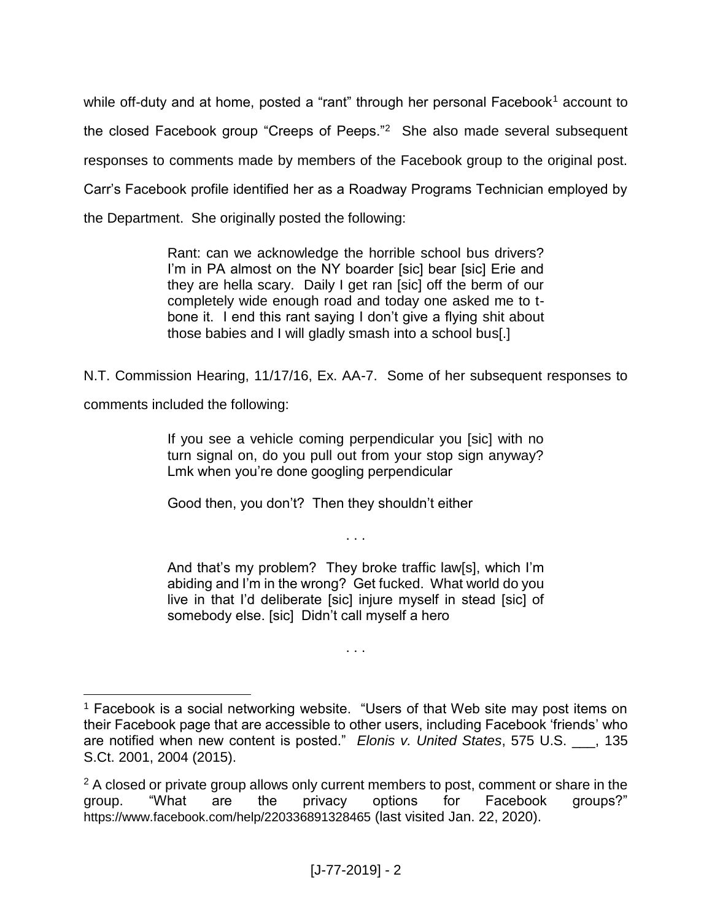while off-duty and at home, posted a "rant" through her personal Facebook<sup>1</sup> account to the closed Facebook group "Creeps of Peeps."<sup>2</sup> She also made several subsequent responses to comments made by members of the Facebook group to the original post. Carr's Facebook profile identified her as a Roadway Programs Technician employed by the Department. She originally posted the following:

> Rant: can we acknowledge the horrible school bus drivers? I'm in PA almost on the NY boarder [sic] bear [sic] Erie and they are hella scary. Daily I get ran [sic] off the berm of our completely wide enough road and today one asked me to tbone it. I end this rant saying I don't give a flying shit about those babies and I will gladly smash into a school bus[.]

N.T. Commission Hearing, 11/17/16, Ex. AA-7. Some of her subsequent responses to

comments included the following:

If you see a vehicle coming perpendicular you [sic] with no turn signal on, do you pull out from your stop sign anyway? Lmk when you're done googling perpendicular

Good then, you don't? Then they shouldn't either

And that's my problem? They broke traffic law[s], which I'm abiding and I'm in the wrong? Get fucked. What world do you live in that I'd deliberate [sic] injure myself in stead [sic] of somebody else. [sic] Didn't call myself a hero

. . .

. . .

 $\overline{a}$ <sup>1</sup> Facebook is a social networking website. "Users of that Web site may post items on their Facebook page that are accessible to other users, including Facebook 'friends' who are notified when new content is posted." *Elonis v. United States*, 575 U.S. \_\_\_, 135 S.Ct. 2001, 2004 (2015).

<sup>&</sup>lt;sup>2</sup> A closed or private group allows only current members to post, comment or share in the group. "What are the privacy options for Facebook groups?" https://www.facebook.com/help/220336891328465 (last visited Jan. 22, 2020).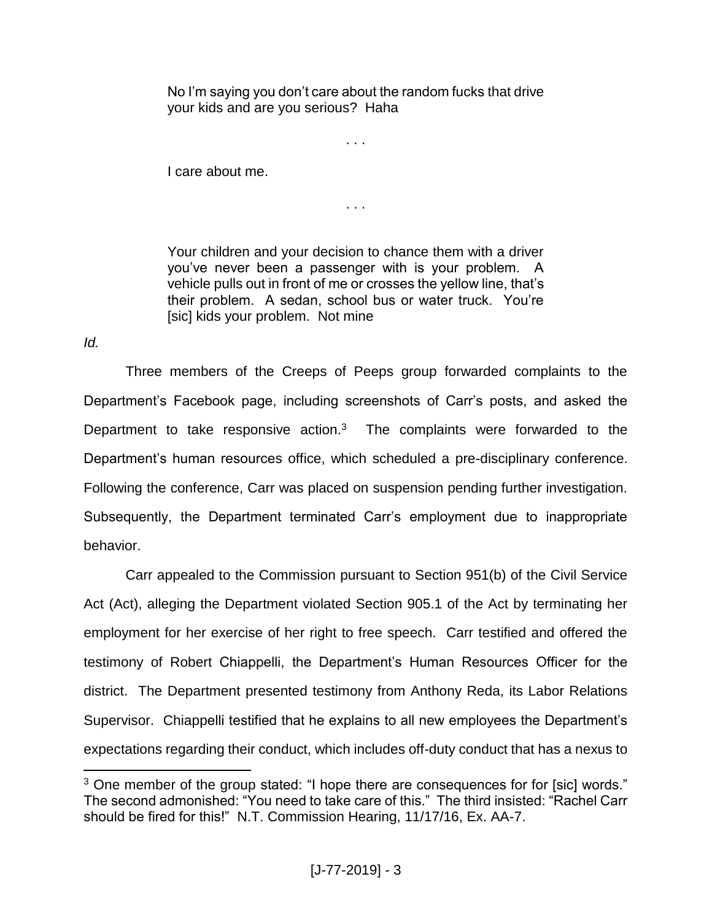No I'm saying you don't care about the random fucks that drive your kids and are you serious? Haha

. . .

I care about me.

. . .

Your children and your decision to chance them with a driver you've never been a passenger with is your problem. A vehicle pulls out in front of me or crosses the yellow line, that's their problem. A sedan, school bus or water truck. You're [sic] kids your problem. Not mine

*Id.*

 $\overline{a}$ 

Three members of the Creeps of Peeps group forwarded complaints to the Department's Facebook page, including screenshots of Carr's posts, and asked the Department to take responsive action. $3$  The complaints were forwarded to the Department's human resources office, which scheduled a pre-disciplinary conference. Following the conference, Carr was placed on suspension pending further investigation. Subsequently, the Department terminated Carr's employment due to inappropriate behavior.

Carr appealed to the Commission pursuant to Section 951(b) of the Civil Service Act (Act), alleging the Department violated Section 905.1 of the Act by terminating her employment for her exercise of her right to free speech. Carr testified and offered the testimony of Robert Chiappelli, the Department's Human Resources Officer for the district. The Department presented testimony from Anthony Reda, its Labor Relations Supervisor. Chiappelli testified that he explains to all new employees the Department's expectations regarding their conduct, which includes off-duty conduct that has a nexus to

<sup>&</sup>lt;sup>3</sup> One member of the group stated: "I hope there are consequences for for [sic] words." The second admonished: "You need to take care of this." The third insisted: "Rachel Carr should be fired for this!" N.T. Commission Hearing, 11/17/16, Ex. AA-7.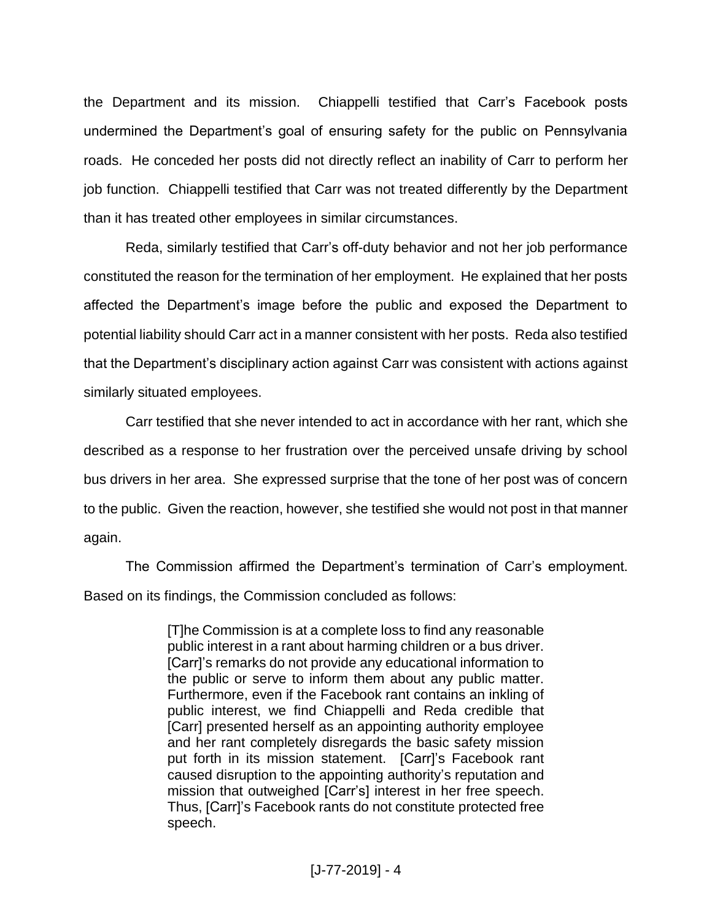the Department and its mission. Chiappelli testified that Carr's Facebook posts undermined the Department's goal of ensuring safety for the public on Pennsylvania roads. He conceded her posts did not directly reflect an inability of Carr to perform her job function. Chiappelli testified that Carr was not treated differently by the Department than it has treated other employees in similar circumstances.

Reda, similarly testified that Carr's off-duty behavior and not her job performance constituted the reason for the termination of her employment. He explained that her posts affected the Department's image before the public and exposed the Department to potential liability should Carr act in a manner consistent with her posts. Reda also testified that the Department's disciplinary action against Carr was consistent with actions against similarly situated employees.

Carr testified that she never intended to act in accordance with her rant, which she described as a response to her frustration over the perceived unsafe driving by school bus drivers in her area. She expressed surprise that the tone of her post was of concern to the public. Given the reaction, however, she testified she would not post in that manner again.

The Commission affirmed the Department's termination of Carr's employment. Based on its findings, the Commission concluded as follows:

> [T]he Commission is at a complete loss to find any reasonable public interest in a rant about harming children or a bus driver. [Carr]'s remarks do not provide any educational information to the public or serve to inform them about any public matter. Furthermore, even if the Facebook rant contains an inkling of public interest, we find Chiappelli and Reda credible that [Carr] presented herself as an appointing authority employee and her rant completely disregards the basic safety mission put forth in its mission statement. [Carr]'s Facebook rant caused disruption to the appointing authority's reputation and mission that outweighed [Carr's] interest in her free speech. Thus, [Carr]'s Facebook rants do not constitute protected free speech.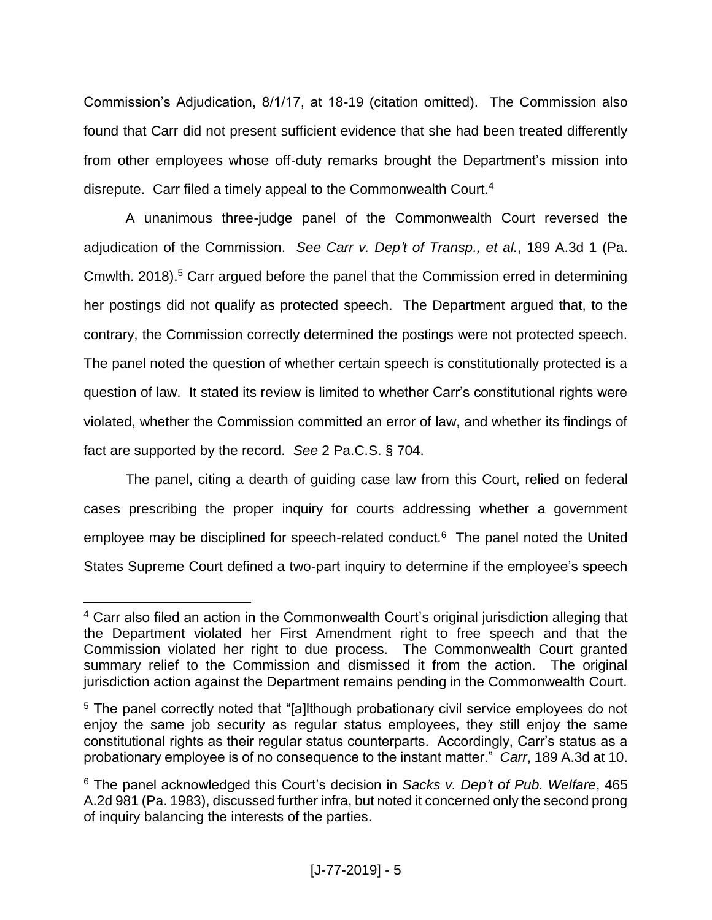Commission's Adjudication, 8/1/17, at 18-19 (citation omitted). The Commission also found that Carr did not present sufficient evidence that she had been treated differently from other employees whose off-duty remarks brought the Department's mission into disrepute. Carr filed a timely appeal to the Commonwealth Court.<sup>4</sup>

A unanimous three-judge panel of the Commonwealth Court reversed the adjudication of the Commission. *See Carr v. Dep't of Transp., et al.*, 189 A.3d 1 (Pa. Cmwlth. 2018).<sup>5</sup> Carr argued before the panel that the Commission erred in determining her postings did not qualify as protected speech. The Department argued that, to the contrary, the Commission correctly determined the postings were not protected speech. The panel noted the question of whether certain speech is constitutionally protected is a question of law. It stated its review is limited to whether Carr's constitutional rights were violated, whether the Commission committed an error of law, and whether its findings of fact are supported by the record. *See* 2 Pa.C.S. § 704.

The panel, citing a dearth of guiding case law from this Court, relied on federal cases prescribing the proper inquiry for courts addressing whether a government employee may be disciplined for speech-related conduct.<sup>6</sup> The panel noted the United States Supreme Court defined a two-part inquiry to determine if the employee's speech

 $\overline{a}$ <sup>4</sup> Carr also filed an action in the Commonwealth Court's original jurisdiction alleging that the Department violated her First Amendment right to free speech and that the Commission violated her right to due process. The Commonwealth Court granted summary relief to the Commission and dismissed it from the action. The original jurisdiction action against the Department remains pending in the Commonwealth Court.

<sup>&</sup>lt;sup>5</sup> The panel correctly noted that "[a]lthough probationary civil service employees do not enjoy the same job security as regular status employees, they still enjoy the same constitutional rights as their regular status counterparts. Accordingly, Carr's status as a probationary employee is of no consequence to the instant matter." *Carr*, 189 A.3d at 10.

<sup>6</sup> The panel acknowledged this Court's decision in *Sacks v. Dep't of Pub. Welfare*, 465 A.2d 981 (Pa. 1983), discussed further infra, but noted it concerned only the second prong of inquiry balancing the interests of the parties.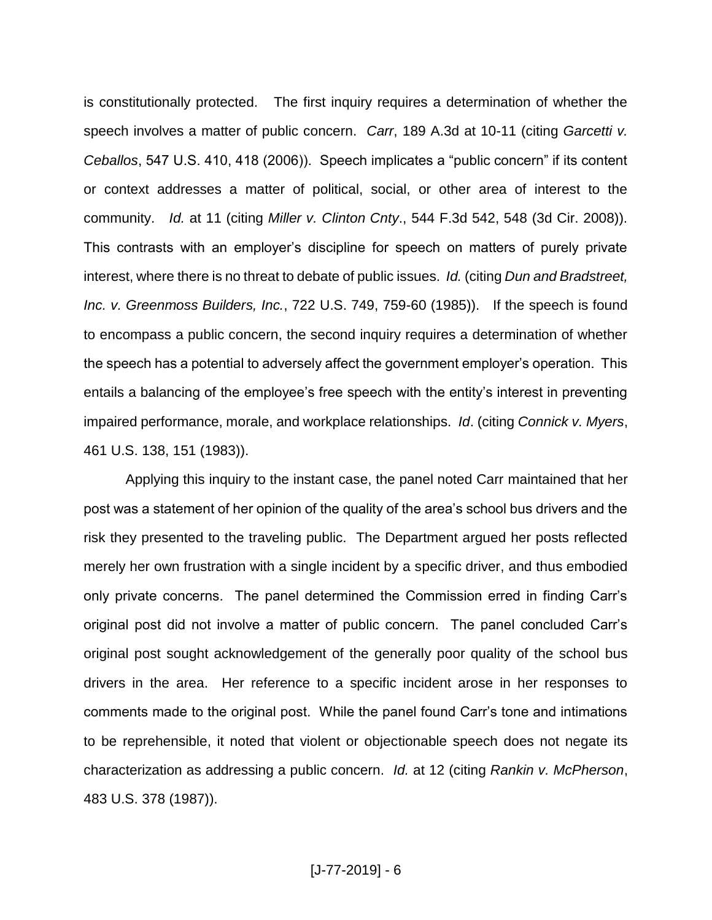is constitutionally protected. The first inquiry requires a determination of whether the speech involves a matter of public concern. *Carr*, 189 A.3d at 10-11 (citing *Garcetti v. Ceballos*, 547 U.S. 410, 418 (2006)). Speech implicates a "public concern" if its content or context addresses a matter of political, social, or other area of interest to the community. *Id.* at 11 (citing *Miller v. Clinton Cnty*., 544 F.3d 542, 548 (3d Cir. 2008)). This contrasts with an employer's discipline for speech on matters of purely private interest, where there is no threat to debate of public issues. *Id.* (citing *Dun and Bradstreet, Inc. v. Greenmoss Builders, Inc.*, 722 U.S. 749, 759-60 (1985)). If the speech is found to encompass a public concern, the second inquiry requires a determination of whether the speech has a potential to adversely affect the government employer's operation. This entails a balancing of the employee's free speech with the entity's interest in preventing impaired performance, morale, and workplace relationships. *Id*. (citing *Connick v. Myers*, 461 U.S. 138, 151 (1983)).

Applying this inquiry to the instant case, the panel noted Carr maintained that her post was a statement of her opinion of the quality of the area's school bus drivers and the risk they presented to the traveling public. The Department argued her posts reflected merely her own frustration with a single incident by a specific driver, and thus embodied only private concerns. The panel determined the Commission erred in finding Carr's original post did not involve a matter of public concern. The panel concluded Carr's original post sought acknowledgement of the generally poor quality of the school bus drivers in the area. Her reference to a specific incident arose in her responses to comments made to the original post. While the panel found Carr's tone and intimations to be reprehensible, it noted that violent or objectionable speech does not negate its characterization as addressing a public concern. *Id.* at 12 (citing *Rankin v. McPherson*, 483 U.S. 378 (1987)).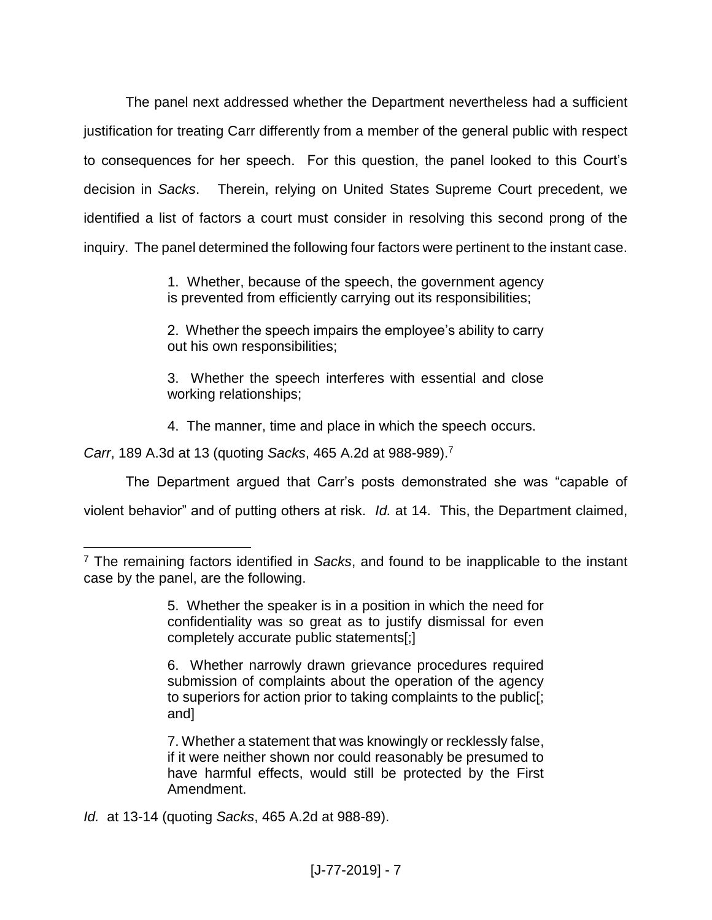The panel next addressed whether the Department nevertheless had a sufficient justification for treating Carr differently from a member of the general public with respect to consequences for her speech. For this question, the panel looked to this Court's decision in *Sacks*. Therein, relying on United States Supreme Court precedent, we identified a list of factors a court must consider in resolving this second prong of the inquiry. The panel determined the following four factors were pertinent to the instant case.

> 1. Whether, because of the speech, the government agency is prevented from efficiently carrying out its responsibilities;

> 2. Whether the speech impairs the employee's ability to carry out his own responsibilities;

> 3. Whether the speech interferes with essential and close working relationships;

4. The manner, time and place in which the speech occurs.

*Carr*, 189 A.3d at 13 (quoting *Sacks*, 465 A.2d at 988-989).<sup>7</sup>

 $\overline{a}$ 

The Department argued that Carr's posts demonstrated she was "capable of

violent behavior" and of putting others at risk. *Id.* at 14. This, the Department claimed,

*Id.* at 13-14 (quoting *Sacks*, 465 A.2d at 988-89).

<sup>7</sup> The remaining factors identified in *Sacks*, and found to be inapplicable to the instant case by the panel, are the following.

<sup>5.</sup> Whether the speaker is in a position in which the need for confidentiality was so great as to justify dismissal for even completely accurate public statements[;]

<sup>6.</sup> Whether narrowly drawn grievance procedures required submission of complaints about the operation of the agency to superiors for action prior to taking complaints to the public[; and]

<sup>7.</sup> Whether a statement that was knowingly or recklessly false, if it were neither shown nor could reasonably be presumed to have harmful effects, would still be protected by the First Amendment.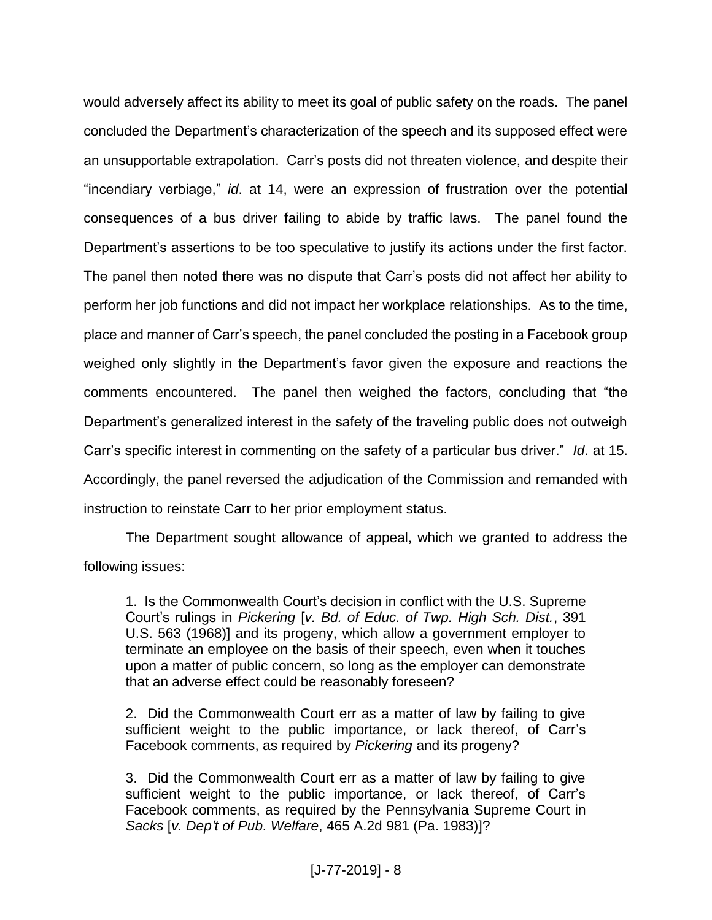would adversely affect its ability to meet its goal of public safety on the roads. The panel concluded the Department's characterization of the speech and its supposed effect were an unsupportable extrapolation. Carr's posts did not threaten violence, and despite their "incendiary verbiage," *id*. at 14, were an expression of frustration over the potential consequences of a bus driver failing to abide by traffic laws. The panel found the Department's assertions to be too speculative to justify its actions under the first factor. The panel then noted there was no dispute that Carr's posts did not affect her ability to perform her job functions and did not impact her workplace relationships. As to the time, place and manner of Carr's speech, the panel concluded the posting in a Facebook group weighed only slightly in the Department's favor given the exposure and reactions the comments encountered. The panel then weighed the factors, concluding that "the Department's generalized interest in the safety of the traveling public does not outweigh Carr's specific interest in commenting on the safety of a particular bus driver." *Id*. at 15. Accordingly, the panel reversed the adjudication of the Commission and remanded with instruction to reinstate Carr to her prior employment status.

The Department sought allowance of appeal, which we granted to address the following issues:

1. Is the Commonwealth Court's decision in conflict with the U.S. Supreme Court's rulings in *Pickering* [*v. Bd. of Educ. of Twp. High Sch. Dist.*, 391 U.S. 563 (1968)] and its progeny, which allow a government employer to terminate an employee on the basis of their speech, even when it touches upon a matter of public concern, so long as the employer can demonstrate that an adverse effect could be reasonably foreseen?

2. Did the Commonwealth Court err as a matter of law by failing to give sufficient weight to the public importance, or lack thereof, of Carr's Facebook comments, as required by *Pickering* and its progeny?

3. Did the Commonwealth Court err as a matter of law by failing to give sufficient weight to the public importance, or lack thereof, of Carr's Facebook comments, as required by the Pennsylvania Supreme Court in *Sacks* [*v. Dep't of Pub. Welfare*, 465 A.2d 981 (Pa. 1983)]?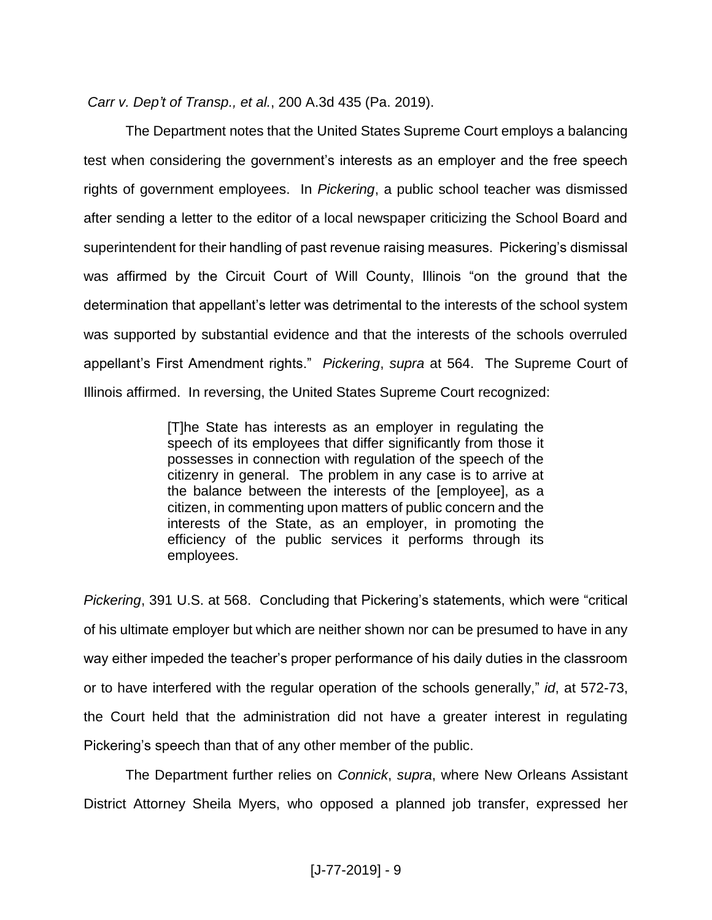*Carr v. Dep't of Transp., et al.*, 200 A.3d 435 (Pa. 2019).

The Department notes that the United States Supreme Court employs a balancing test when considering the government's interests as an employer and the free speech rights of government employees. In *Pickering*, a public school teacher was dismissed after sending a letter to the editor of a local newspaper criticizing the School Board and superintendent for their handling of past revenue raising measures. Pickering's dismissal was affirmed by the Circuit Court of Will County, Illinois "on the ground that the determination that appellant's letter was detrimental to the interests of the school system was supported by substantial evidence and that the interests of the schools overruled appellant's First Amendment rights." *Pickering*, *supra* at 564. The Supreme Court of Illinois affirmed. In reversing, the United States Supreme Court recognized:

> [T]he State has interests as an employer in regulating the speech of its employees that differ significantly from those it possesses in connection with regulation of the speech of the citizenry in general. The problem in any case is to arrive at the balance between the interests of the [employee], as a citizen, in commenting upon matters of public concern and the interests of the State, as an employer, in promoting the efficiency of the public services it performs through its employees.

*Pickering*, 391 U.S. at 568. Concluding that Pickering's statements, which were "critical of his ultimate employer but which are neither shown nor can be presumed to have in any way either impeded the teacher's proper performance of his daily duties in the classroom or to have interfered with the regular operation of the schools generally," *id*, at 572-73, the Court held that the administration did not have a greater interest in regulating Pickering's speech than that of any other member of the public.

The Department further relies on *Connick*, *supra*, where New Orleans Assistant District Attorney Sheila Myers, who opposed a planned job transfer, expressed her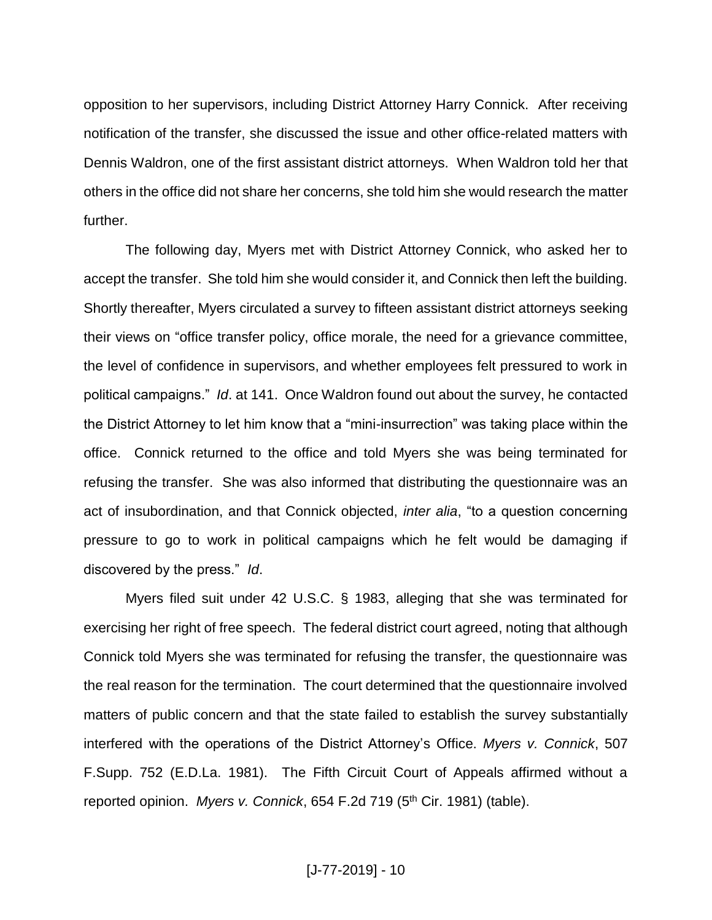opposition to her supervisors, including District Attorney Harry Connick. After receiving notification of the transfer, she discussed the issue and other office-related matters with Dennis Waldron, one of the first assistant district attorneys. When Waldron told her that others in the office did not share her concerns, she told him she would research the matter further.

The following day, Myers met with District Attorney Connick, who asked her to accept the transfer. She told him she would consider it, and Connick then left the building. Shortly thereafter, Myers circulated a survey to fifteen assistant district attorneys seeking their views on "office transfer policy, office morale, the need for a grievance committee, the level of confidence in supervisors, and whether employees felt pressured to work in political campaigns." *Id*. at 141. Once Waldron found out about the survey, he contacted the District Attorney to let him know that a "mini-insurrection" was taking place within the office. Connick returned to the office and told Myers she was being terminated for refusing the transfer. She was also informed that distributing the questionnaire was an act of insubordination, and that Connick objected, *inter alia*, "to a question concerning pressure to go to work in political campaigns which he felt would be damaging if discovered by the press." *Id*.

Myers filed suit under 42 U.S.C. § 1983, alleging that she was terminated for exercising her right of free speech. The federal district court agreed, noting that although Connick told Myers she was terminated for refusing the transfer, the questionnaire was the real reason for the termination. The court determined that the questionnaire involved matters of public concern and that the state failed to establish the survey substantially interfered with the operations of the District Attorney's Office. *Myers v. Connick*, 507 F.Supp. 752 (E.D.La. 1981). The Fifth Circuit Court of Appeals affirmed without a reported opinion. Myers v. Connick, 654 F.2d 719 (5<sup>th</sup> Cir. 1981) (table).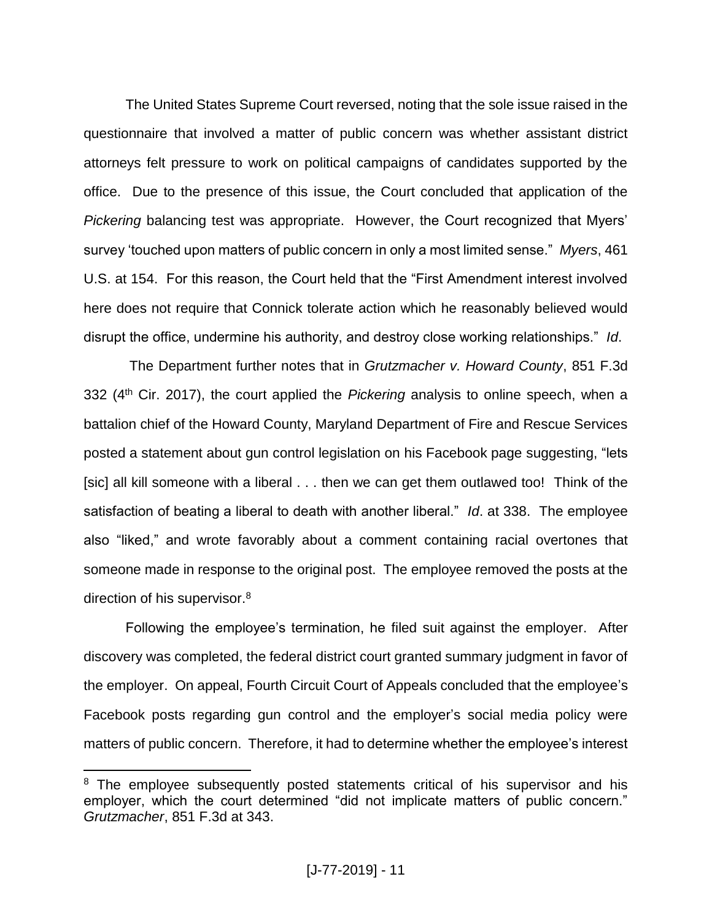The United States Supreme Court reversed, noting that the sole issue raised in the questionnaire that involved a matter of public concern was whether assistant district attorneys felt pressure to work on political campaigns of candidates supported by the office. Due to the presence of this issue, the Court concluded that application of the *Pickering* balancing test was appropriate. However, the Court recognized that Myers' survey 'touched upon matters of public concern in only a most limited sense." *Myers*, 461 U.S. at 154. For this reason, the Court held that the "First Amendment interest involved here does not require that Connick tolerate action which he reasonably believed would disrupt the office, undermine his authority, and destroy close working relationships." *Id*.

The Department further notes that in *Grutzmacher v. Howard County*, 851 F.3d 332 (4th Cir. 2017), the court applied the *Pickering* analysis to online speech, when a battalion chief of the Howard County, Maryland Department of Fire and Rescue Services posted a statement about gun control legislation on his Facebook page suggesting, "lets [sic] all kill someone with a liberal . . . then we can get them outlawed too! Think of the satisfaction of beating a liberal to death with another liberal." *Id*. at 338. The employee also "liked," and wrote favorably about a comment containing racial overtones that someone made in response to the original post. The employee removed the posts at the direction of his supervisor.<sup>8</sup>

Following the employee's termination, he filed suit against the employer. After discovery was completed, the federal district court granted summary judgment in favor of the employer. On appeal, Fourth Circuit Court of Appeals concluded that the employee's Facebook posts regarding gun control and the employer's social media policy were matters of public concern. Therefore, it had to determine whether the employee's interest

 $\overline{a}$ 

<sup>&</sup>lt;sup>8</sup> The employee subsequently posted statements critical of his supervisor and his employer, which the court determined "did not implicate matters of public concern." *Grutzmacher*, 851 F.3d at 343.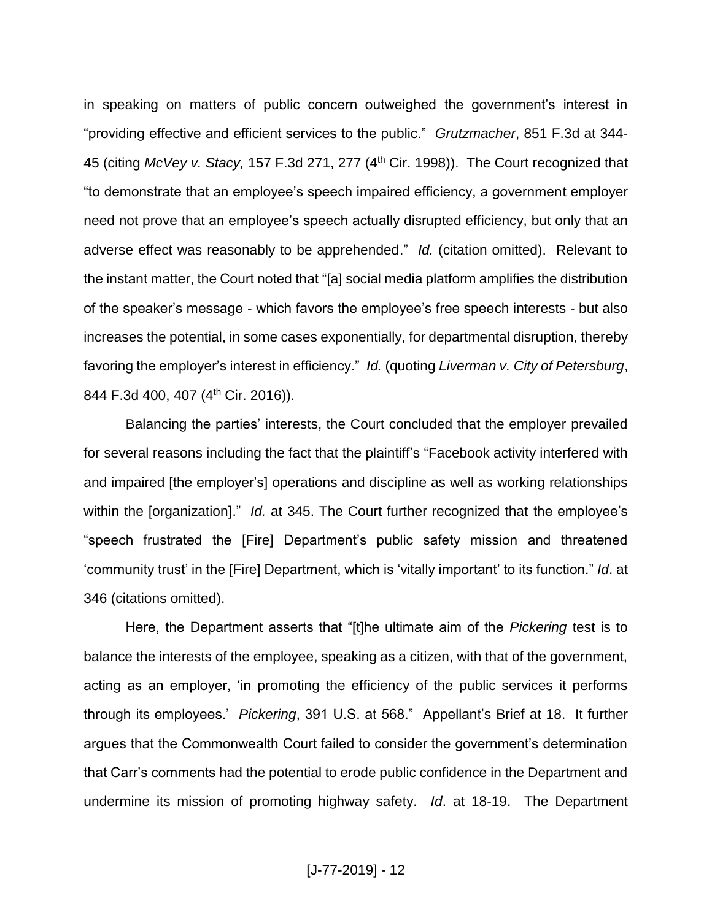in speaking on matters of public concern outweighed the government's interest in "providing effective and efficient services to the public." *Grutzmacher*, 851 F.3d at 344- 45 (citing *McVey v. Stacy,* 157 F.3d 271, 277 (4th Cir. 1998)). The Court recognized that "to demonstrate that an employee's speech impaired efficiency, a government employer need not prove that an employee's speech actually disrupted efficiency, but only that an adverse effect was reasonably to be apprehended." *Id.* (citation omitted). Relevant to the instant matter, the Court noted that "[a] social media platform amplifies the distribution of the speaker's message - which favors the employee's free speech interests - but also increases the potential, in some cases exponentially, for departmental disruption, thereby favoring the employer's interest in efficiency." *Id.* (quoting *Liverman v. City of Petersburg*, 844 F.3d 400, 407 (4<sup>th</sup> Cir. 2016)).

Balancing the parties' interests, the Court concluded that the employer prevailed for several reasons including the fact that the plaintiff's "Facebook activity interfered with and impaired [the employer's] operations and discipline as well as working relationships within the [organization]." *Id.* at 345. The Court further recognized that the employee's "speech frustrated the [Fire] Department's public safety mission and threatened 'community trust' in the [Fire] Department, which is 'vitally important' to its function." *Id*. at 346 (citations omitted).

Here, the Department asserts that "[t]he ultimate aim of the *Pickering* test is to balance the interests of the employee, speaking as a citizen, with that of the government, acting as an employer, 'in promoting the efficiency of the public services it performs through its employees.' *Pickering*, 391 U.S. at 568." Appellant's Brief at 18. It further argues that the Commonwealth Court failed to consider the government's determination that Carr's comments had the potential to erode public confidence in the Department and undermine its mission of promoting highway safety. *Id*. at 18-19. The Department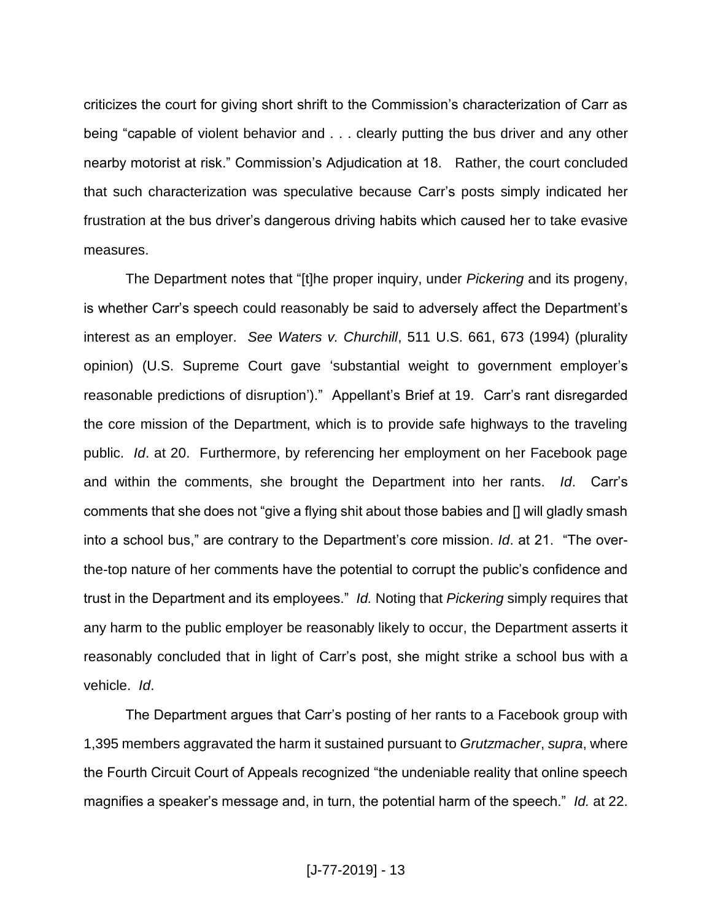criticizes the court for giving short shrift to the Commission's characterization of Carr as being "capable of violent behavior and . . . clearly putting the bus driver and any other nearby motorist at risk." Commission's Adjudication at 18. Rather, the court concluded that such characterization was speculative because Carr's posts simply indicated her frustration at the bus driver's dangerous driving habits which caused her to take evasive measures.

The Department notes that "[t]he proper inquiry, under *Pickering* and its progeny, is whether Carr's speech could reasonably be said to adversely affect the Department's interest as an employer. *See Waters v. Churchill*, 511 U.S. 661, 673 (1994) (plurality opinion) (U.S. Supreme Court gave 'substantial weight to government employer's reasonable predictions of disruption')." Appellant's Brief at 19. Carr's rant disregarded the core mission of the Department, which is to provide safe highways to the traveling public. *Id*. at 20. Furthermore, by referencing her employment on her Facebook page and within the comments, she brought the Department into her rants. *Id*. Carr's comments that she does not "give a flying shit about those babies and [] will gladly smash into a school bus," are contrary to the Department's core mission. *Id*. at 21. "The overthe-top nature of her comments have the potential to corrupt the public's confidence and trust in the Department and its employees." *Id.* Noting that *Pickering* simply requires that any harm to the public employer be reasonably likely to occur, the Department asserts it reasonably concluded that in light of Carr's post, she might strike a school bus with a vehicle. *Id*.

The Department argues that Carr's posting of her rants to a Facebook group with 1,395 members aggravated the harm it sustained pursuant to *Grutzmacher*, *supra*, where the Fourth Circuit Court of Appeals recognized "the undeniable reality that online speech magnifies a speaker's message and, in turn, the potential harm of the speech." *Id.* at 22.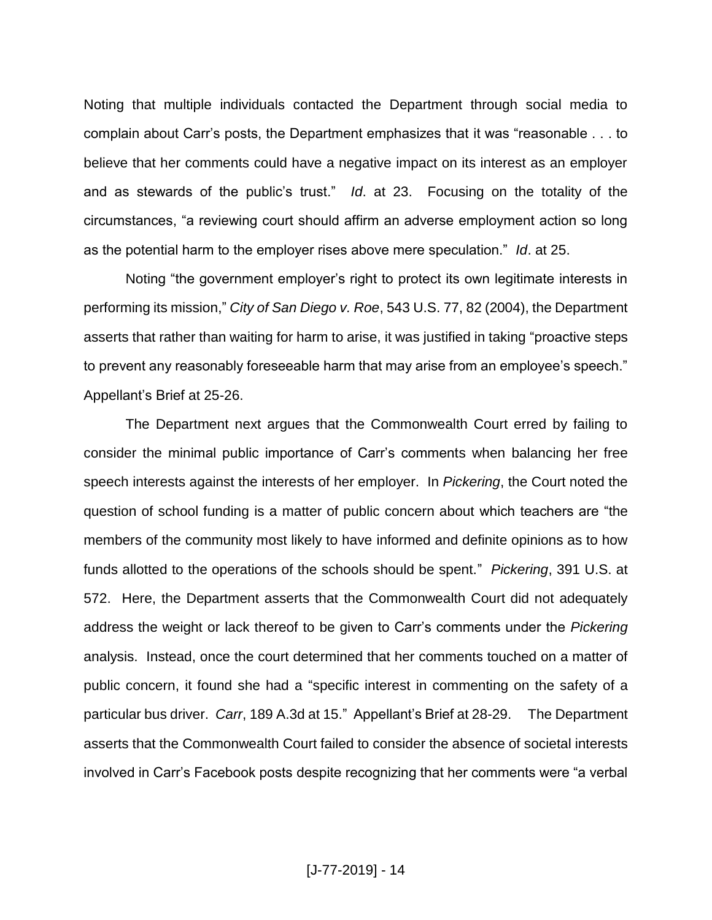Noting that multiple individuals contacted the Department through social media to complain about Carr's posts, the Department emphasizes that it was "reasonable . . . to believe that her comments could have a negative impact on its interest as an employer and as stewards of the public's trust." *Id*. at 23. Focusing on the totality of the circumstances, "a reviewing court should affirm an adverse employment action so long as the potential harm to the employer rises above mere speculation." *Id*. at 25.

Noting "the government employer's right to protect its own legitimate interests in performing its mission," *City of San Diego v. Roe*, 543 U.S. 77, 82 (2004), the Department asserts that rather than waiting for harm to arise, it was justified in taking "proactive steps to prevent any reasonably foreseeable harm that may arise from an employee's speech." Appellant's Brief at 25-26.

The Department next argues that the Commonwealth Court erred by failing to consider the minimal public importance of Carr's comments when balancing her free speech interests against the interests of her employer. In *Pickering*, the Court noted the question of school funding is a matter of public concern about which teachers are "the members of the community most likely to have informed and definite opinions as to how funds allotted to the operations of the schools should be spent." *Pickering*, 391 U.S. at 572. Here, the Department asserts that the Commonwealth Court did not adequately address the weight or lack thereof to be given to Carr's comments under the *Pickering*  analysis. Instead, once the court determined that her comments touched on a matter of public concern, it found she had a "specific interest in commenting on the safety of a particular bus driver. *Carr*, 189 A.3d at 15." Appellant's Brief at 28-29. The Department asserts that the Commonwealth Court failed to consider the absence of societal interests involved in Carr's Facebook posts despite recognizing that her comments were "a verbal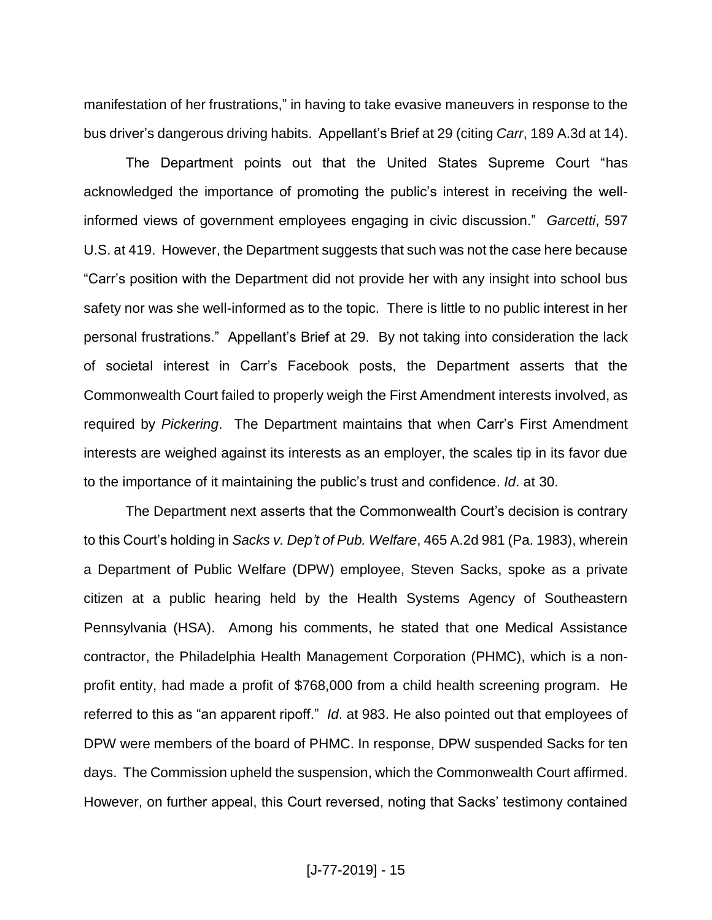manifestation of her frustrations," in having to take evasive maneuvers in response to the bus driver's dangerous driving habits. Appellant's Brief at 29 (citing *Carr*, 189 A.3d at 14).

The Department points out that the United States Supreme Court "has acknowledged the importance of promoting the public's interest in receiving the wellinformed views of government employees engaging in civic discussion." *Garcetti*, 597 U.S. at 419. However, the Department suggests that such was not the case here because "Carr's position with the Department did not provide her with any insight into school bus safety nor was she well-informed as to the topic. There is little to no public interest in her personal frustrations." Appellant's Brief at 29. By not taking into consideration the lack of societal interest in Carr's Facebook posts, the Department asserts that the Commonwealth Court failed to properly weigh the First Amendment interests involved, as required by *Pickering*. The Department maintains that when Carr's First Amendment interests are weighed against its interests as an employer, the scales tip in its favor due to the importance of it maintaining the public's trust and confidence. *Id*. at 30.

The Department next asserts that the Commonwealth Court's decision is contrary to this Court's holding in *Sacks v. Dep't of Pub. Welfare*, 465 A.2d 981 (Pa. 1983), wherein a Department of Public Welfare (DPW) employee, Steven Sacks, spoke as a private citizen at a public hearing held by the Health Systems Agency of Southeastern Pennsylvania (HSA). Among his comments, he stated that one Medical Assistance contractor, the Philadelphia Health Management Corporation (PHMC), which is a nonprofit entity, had made a profit of \$768,000 from a child health screening program. He referred to this as "an apparent ripoff." *Id*. at 983. He also pointed out that employees of DPW were members of the board of PHMC. In response, DPW suspended Sacks for ten days. The Commission upheld the suspension, which the Commonwealth Court affirmed. However, on further appeal, this Court reversed, noting that Sacks' testimony contained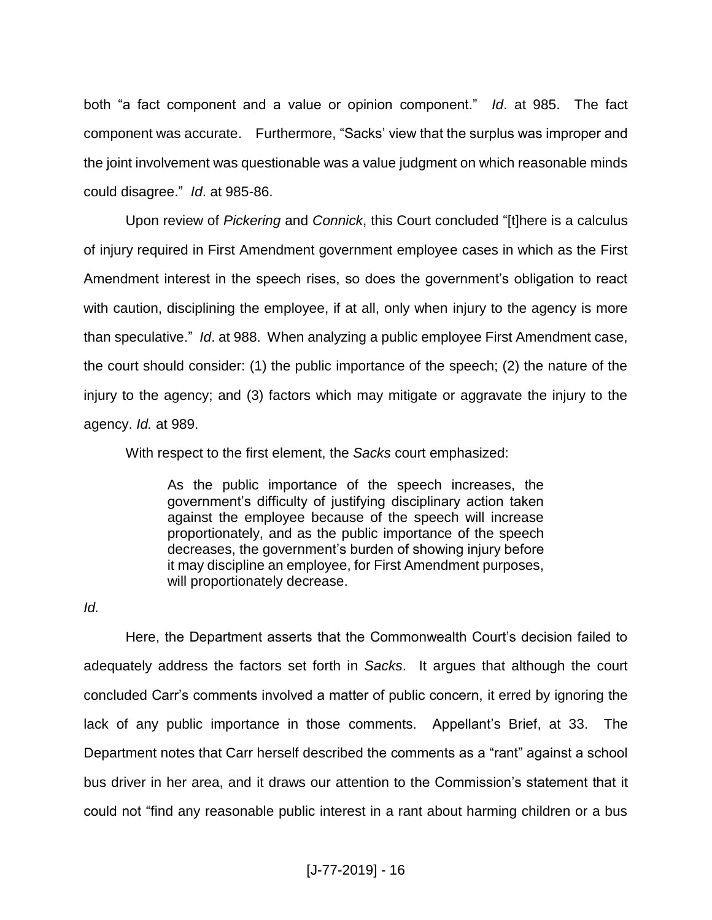both "a fact component and a value or opinion component." *Id*. at 985. The fact component was accurate. Furthermore, "Sacks' view that the surplus was improper and the joint involvement was questionable was a value judgment on which reasonable minds could disagree." *Id*. at 985-86.

Upon review of *Pickering* and *Connick*, this Court concluded "[t]here is a calculus of injury required in First Amendment government employee cases in which as the First Amendment interest in the speech rises, so does the government's obligation to react with caution, disciplining the employee, if at all, only when injury to the agency is more than speculative." *Id*. at 988. When analyzing a public employee First Amendment case, the court should consider: (1) the public importance of the speech; (2) the nature of the injury to the agency; and (3) factors which may mitigate or aggravate the injury to the agency. *Id.* at 989.

With respect to the first element, the *Sacks* court emphasized:

As the public importance of the speech increases, the government's difficulty of justifying disciplinary action taken against the employee because of the speech will increase proportionately, and as the public importance of the speech decreases, the government's burden of showing injury before it may discipline an employee, for First Amendment purposes, will proportionately decrease.

*Id.* 

Here, the Department asserts that the Commonwealth Court's decision failed to adequately address the factors set forth in *Sacks*. It argues that although the court concluded Carr's comments involved a matter of public concern, it erred by ignoring the lack of any public importance in those comments. Appellant's Brief, at 33. The Department notes that Carr herself described the comments as a "rant" against a school bus driver in her area, and it draws our attention to the Commission's statement that it could not "find any reasonable public interest in a rant about harming children or a bus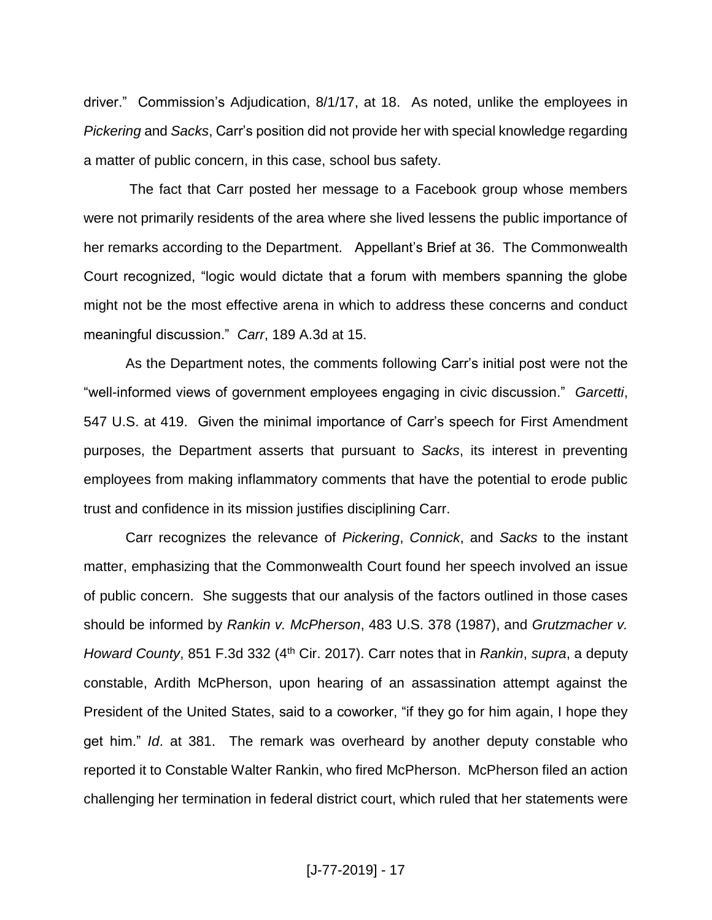driver." Commission's Adjudication, 8/1/17, at 18.As noted, unlike the employees in *Pickering* and *Sacks*, Carr's position did not provide her with special knowledge regarding a matter of public concern, in this case, school bus safety.

The fact that Carr posted her message to a Facebook group whose members were not primarily residents of the area where she lived lessens the public importance of her remarks according to the Department. Appellant's Brief at 36. The Commonwealth Court recognized, "logic would dictate that a forum with members spanning the globe might not be the most effective arena in which to address these concerns and conduct meaningful discussion." *Carr*, 189 A.3d at 15.

As the Department notes, the comments following Carr's initial post were not the "well-informed views of government employees engaging in civic discussion." *Garcetti*, 547 U.S. at 419. Given the minimal importance of Carr's speech for First Amendment purposes, the Department asserts that pursuant to *Sacks*, its interest in preventing employees from making inflammatory comments that have the potential to erode public trust and confidence in its mission justifies disciplining Carr.

Carr recognizes the relevance of *Pickering*, *Connick*, and *Sacks* to the instant matter, emphasizing that the Commonwealth Court found her speech involved an issue of public concern. She suggests that our analysis of the factors outlined in those cases should be informed by *Rankin v. McPherson*, 483 U.S. 378 (1987), and *Grutzmacher v. Howard County*, 851 F.3d 332 (4<sup>th</sup> Cir. 2017). Carr notes that in *Rankin*, *supra*, a deputy constable, Ardith McPherson, upon hearing of an assassination attempt against the President of the United States, said to a coworker, "if they go for him again, I hope they get him." *Id*. at 381. The remark was overheard by another deputy constable who reported it to Constable Walter Rankin, who fired McPherson. McPherson filed an action challenging her termination in federal district court, which ruled that her statements were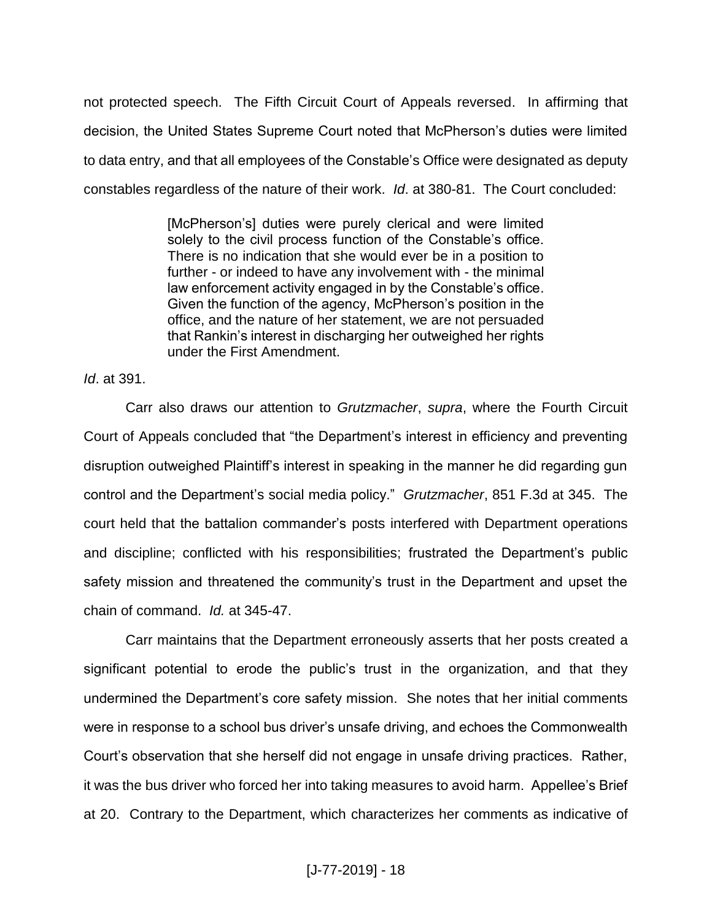not protected speech. The Fifth Circuit Court of Appeals reversed. In affirming that decision, the United States Supreme Court noted that McPherson's duties were limited to data entry, and that all employees of the Constable's Office were designated as deputy constables regardless of the nature of their work. *Id*. at 380-81. The Court concluded:

> [McPherson's] duties were purely clerical and were limited solely to the civil process function of the Constable's office. There is no indication that she would ever be in a position to further - or indeed to have any involvement with - the minimal law enforcement activity engaged in by the Constable's office. Given the function of the agency, McPherson's position in the office, and the nature of her statement, we are not persuaded that Rankin's interest in discharging her outweighed her rights under the First Amendment.

*Id*. at 391.

Carr also draws our attention to *Grutzmacher*, *supra*, where the Fourth Circuit Court of Appeals concluded that "the Department's interest in efficiency and preventing disruption outweighed Plaintiff's interest in speaking in the manner he did regarding gun control and the Department's social media policy." *Grutzmacher*, 851 F.3d at 345. The court held that the battalion commander's posts interfered with Department operations and discipline; conflicted with his responsibilities; frustrated the Department's public safety mission and threatened the community's trust in the Department and upset the chain of command. *Id.* at 345-47.

Carr maintains that the Department erroneously asserts that her posts created a significant potential to erode the public's trust in the organization, and that they undermined the Department's core safety mission. She notes that her initial comments were in response to a school bus driver's unsafe driving, and echoes the Commonwealth Court's observation that she herself did not engage in unsafe driving practices. Rather, it was the bus driver who forced her into taking measures to avoid harm. Appellee's Brief at 20. Contrary to the Department, which characterizes her comments as indicative of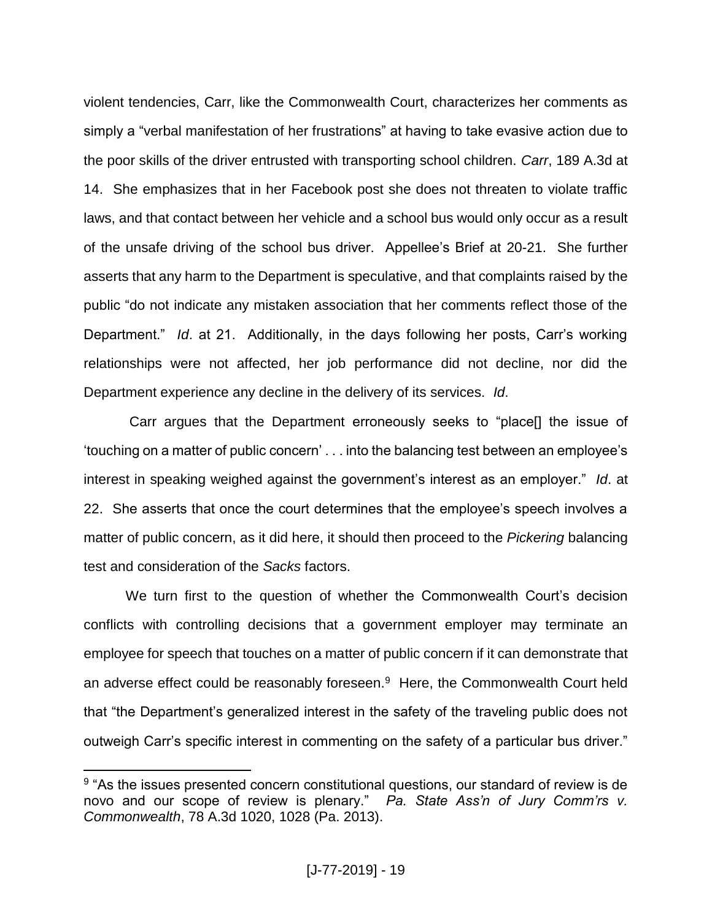violent tendencies, Carr, like the Commonwealth Court, characterizes her comments as simply a "verbal manifestation of her frustrations" at having to take evasive action due to the poor skills of the driver entrusted with transporting school children. *Carr*, 189 A.3d at 14. She emphasizes that in her Facebook post she does not threaten to violate traffic laws, and that contact between her vehicle and a school bus would only occur as a result of the unsafe driving of the school bus driver. Appellee's Brief at 20-21. She further asserts that any harm to the Department is speculative, and that complaints raised by the public "do not indicate any mistaken association that her comments reflect those of the Department." *Id*. at 21. Additionally, in the days following her posts, Carr's working relationships were not affected, her job performance did not decline, nor did the Department experience any decline in the delivery of its services. *Id*.

Carr argues that the Department erroneously seeks to "place[] the issue of 'touching on a matter of public concern' . . . into the balancing test between an employee's interest in speaking weighed against the government's interest as an employer." *Id*. at 22. She asserts that once the court determines that the employee's speech involves a matter of public concern, as it did here, it should then proceed to the *Pickering* balancing test and consideration of the *Sacks* factors.

We turn first to the question of whether the Commonwealth Court's decision conflicts with controlling decisions that a government employer may terminate an employee for speech that touches on a matter of public concern if it can demonstrate that an adverse effect could be reasonably foreseen.<sup>9</sup> Here, the Commonwealth Court held that "the Department's generalized interest in the safety of the traveling public does not outweigh Carr's specific interest in commenting on the safety of a particular bus driver."

 $\overline{a}$ 

<sup>&</sup>lt;sup>9</sup> "As the issues presented concern constitutional questions, our standard of review is de novo and our scope of review is plenary." *Pa. State Ass'n of Jury Comm'rs v. Commonwealth*, 78 A.3d 1020, 1028 (Pa. 2013).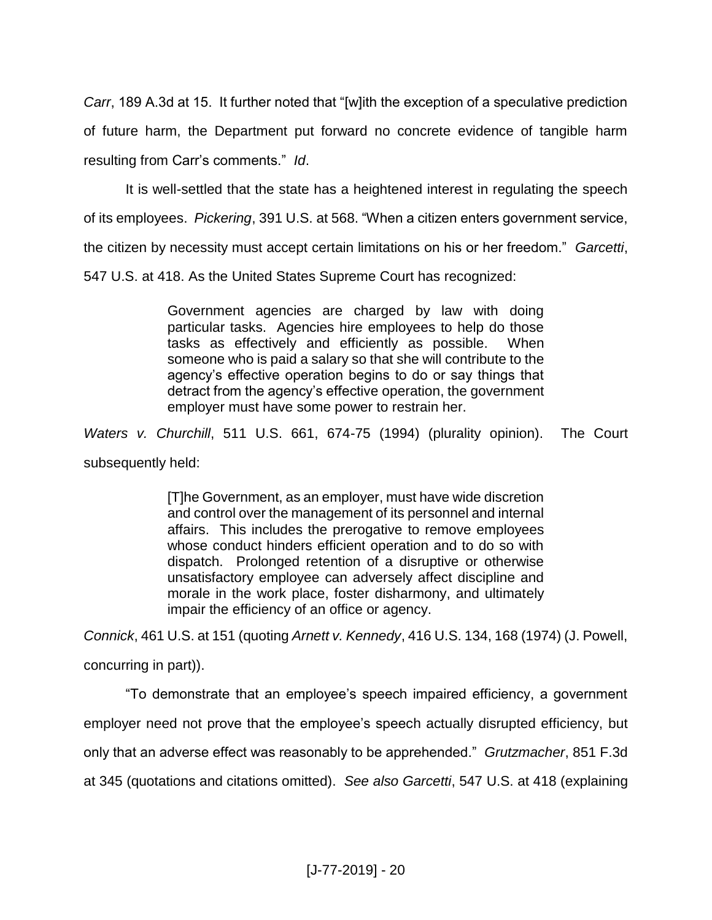*Carr*, 189 A.3d at 15. It further noted that "[w]ith the exception of a speculative prediction of future harm, the Department put forward no concrete evidence of tangible harm resulting from Carr's comments." *Id*.

It is well-settled that the state has a heightened interest in regulating the speech of its employees. *Pickering*, 391 U.S. at 568. "When a citizen enters government service, the citizen by necessity must accept certain limitations on his or her freedom." *Garcetti*, 547 U.S. at 418. As the United States Supreme Court has recognized:

> Government agencies are charged by law with doing particular tasks. Agencies hire employees to help do those tasks as effectively and efficiently as possible. When someone who is paid a salary so that she will contribute to the agency's effective operation begins to do or say things that detract from the agency's effective operation, the government employer must have some power to restrain her.

*Waters v. Churchill*, 511 U.S. 661, 674-75 (1994) (plurality opinion). The Court subsequently held:

> [T]he Government, as an employer, must have wide discretion and control over the management of its personnel and internal affairs. This includes the prerogative to remove employees whose conduct hinders efficient operation and to do so with dispatch. Prolonged retention of a disruptive or otherwise unsatisfactory employee can adversely affect discipline and morale in the work place, foster disharmony, and ultimately impair the efficiency of an office or agency.

*Connick*, 461 U.S. at 151 (quoting *Arnett v. Kennedy*, 416 U.S. 134, 168 (1974) (J. Powell, concurring in part)).

"To demonstrate that an employee's speech impaired efficiency, a government employer need not prove that the employee's speech actually disrupted efficiency, but only that an adverse effect was reasonably to be apprehended." *Grutzmacher*, 851 F.3d at 345 (quotations and citations omitted). *See also Garcetti*, 547 U.S. at 418 (explaining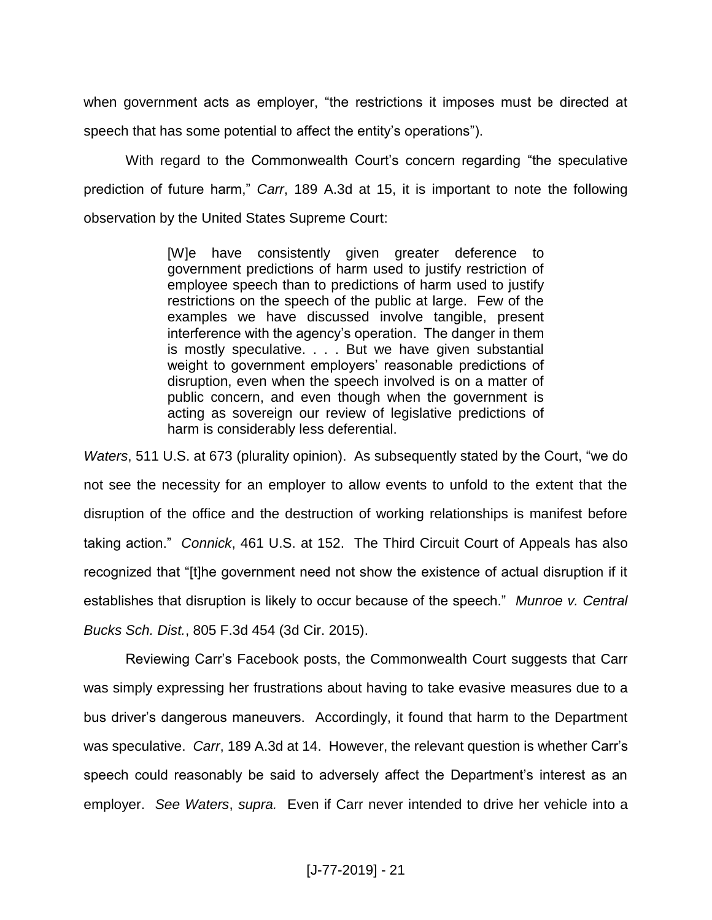when government acts as employer, "the restrictions it imposes must be directed at speech that has some potential to affect the entity's operations").

With regard to the Commonwealth Court's concern regarding "the speculative prediction of future harm," *Carr*, 189 A.3d at 15, it is important to note the following observation by the United States Supreme Court:

> [W]e have consistently given greater deference to government predictions of harm used to justify restriction of employee speech than to predictions of harm used to justify restrictions on the speech of the public at large. Few of the examples we have discussed involve tangible, present interference with the agency's operation. The danger in them is mostly speculative. . . . But we have given substantial weight to government employers' reasonable predictions of disruption, even when the speech involved is on a matter of public concern, and even though when the government is acting as sovereign our review of legislative predictions of harm is considerably less deferential.

*Waters*, 511 U.S. at 673 (plurality opinion). As subsequently stated by the Court, "we do not see the necessity for an employer to allow events to unfold to the extent that the disruption of the office and the destruction of working relationships is manifest before taking action." *Connick*, 461 U.S. at 152. The Third Circuit Court of Appeals has also recognized that "[t]he government need not show the existence of actual disruption if it establishes that disruption is likely to occur because of the speech." *Munroe v. Central Bucks Sch. Dist.*, 805 F.3d 454 (3d Cir. 2015).

Reviewing Carr's Facebook posts, the Commonwealth Court suggests that Carr was simply expressing her frustrations about having to take evasive measures due to a bus driver's dangerous maneuvers. Accordingly, it found that harm to the Department was speculative. *Carr*, 189 A.3d at 14. However, the relevant question is whether Carr's speech could reasonably be said to adversely affect the Department's interest as an employer. *See Waters*, *supra.* Even if Carr never intended to drive her vehicle into a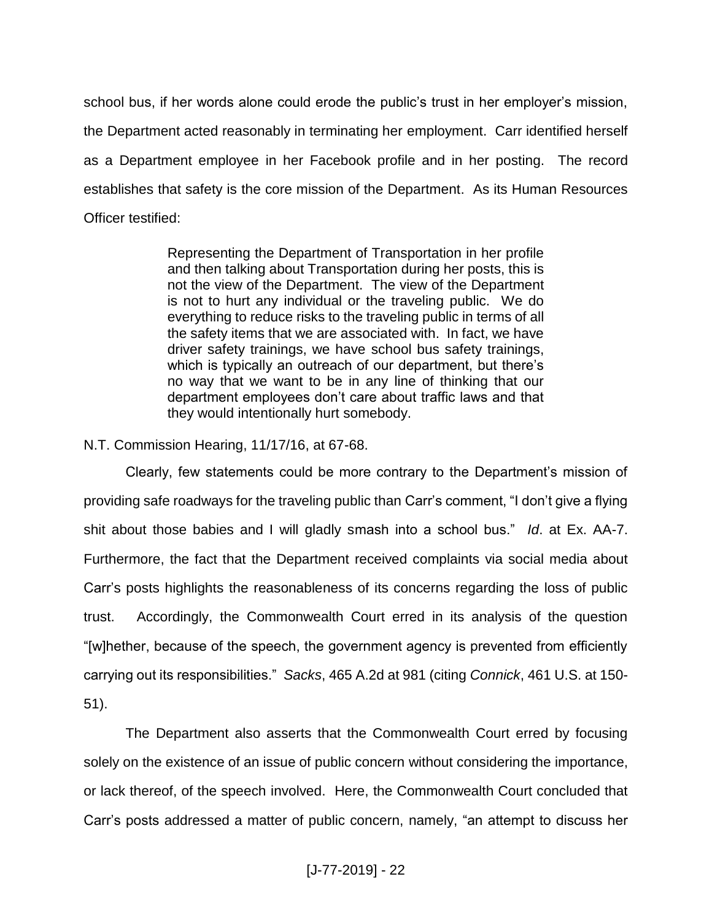school bus, if her words alone could erode the public's trust in her employer's mission, the Department acted reasonably in terminating her employment. Carr identified herself as a Department employee in her Facebook profile and in her posting. The record establishes that safety is the core mission of the Department. As its Human Resources Officer testified:

> Representing the Department of Transportation in her profile and then talking about Transportation during her posts, this is not the view of the Department. The view of the Department is not to hurt any individual or the traveling public. We do everything to reduce risks to the traveling public in terms of all the safety items that we are associated with. In fact, we have driver safety trainings, we have school bus safety trainings, which is typically an outreach of our department, but there's no way that we want to be in any line of thinking that our department employees don't care about traffic laws and that they would intentionally hurt somebody.

N.T. Commission Hearing, 11/17/16, at 67-68.

Clearly, few statements could be more contrary to the Department's mission of providing safe roadways for the traveling public than Carr's comment, "I don't give a flying shit about those babies and I will gladly smash into a school bus." *Id*. at Ex. AA-7. Furthermore, the fact that the Department received complaints via social media about Carr's posts highlights the reasonableness of its concerns regarding the loss of public trust. Accordingly, the Commonwealth Court erred in its analysis of the question "[w]hether, because of the speech, the government agency is prevented from efficiently carrying out its responsibilities." *Sacks*, 465 A.2d at 981 (citing *Connick*, 461 U.S. at 150- 51).

The Department also asserts that the Commonwealth Court erred by focusing solely on the existence of an issue of public concern without considering the importance, or lack thereof, of the speech involved. Here, the Commonwealth Court concluded that Carr's posts addressed a matter of public concern, namely, "an attempt to discuss her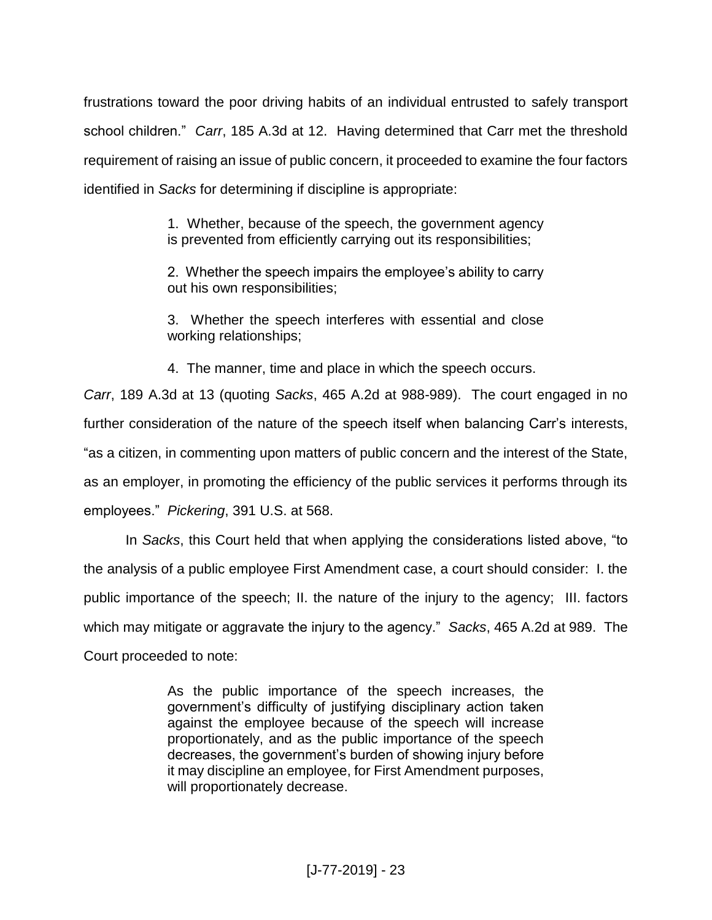frustrations toward the poor driving habits of an individual entrusted to safely transport school children." *Carr*, 185 A.3d at 12. Having determined that Carr met the threshold requirement of raising an issue of public concern, it proceeded to examine the four factors identified in *Sacks* for determining if discipline is appropriate:

> 1. Whether, because of the speech, the government agency is prevented from efficiently carrying out its responsibilities;

> 2. Whether the speech impairs the employee's ability to carry out his own responsibilities;

> 3. Whether the speech interferes with essential and close working relationships;

4. The manner, time and place in which the speech occurs.

*Carr*, 189 A.3d at 13 (quoting *Sacks*, 465 A.2d at 988-989). The court engaged in no further consideration of the nature of the speech itself when balancing Carr's interests, "as a citizen, in commenting upon matters of public concern and the interest of the State, as an employer, in promoting the efficiency of the public services it performs through its employees." *Pickering*, 391 U.S. at 568.

In *Sacks*, this Court held that when applying the considerations listed above, "to the analysis of a public employee First Amendment case, a court should consider: I. the public importance of the speech; II. the nature of the injury to the agency; III. factors which may mitigate or aggravate the injury to the agency." *Sacks*, 465 A.2d at 989. The Court proceeded to note:

> As the public importance of the speech increases, the government's difficulty of justifying disciplinary action taken against the employee because of the speech will increase proportionately, and as the public importance of the speech decreases, the government's burden of showing injury before it may discipline an employee, for First Amendment purposes, will proportionately decrease.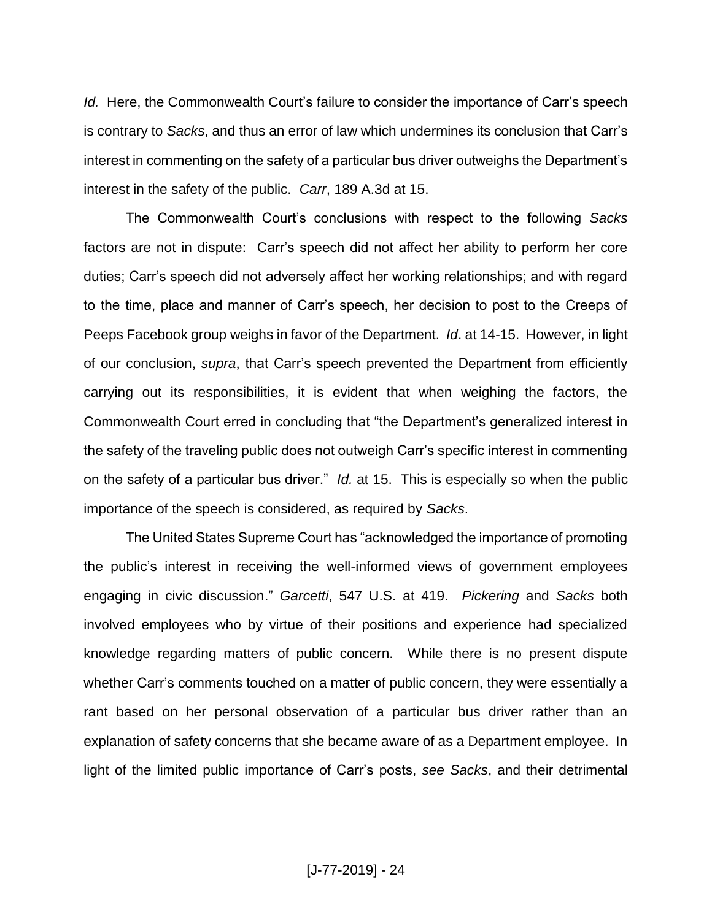*Id.* Here, the Commonwealth Court's failure to consider the importance of Carr's speech is contrary to *Sacks*, and thus an error of law which undermines its conclusion that Carr's interest in commenting on the safety of a particular bus driver outweighs the Department's interest in the safety of the public. *Carr*, 189 A.3d at 15.

The Commonwealth Court's conclusions with respect to the following *Sacks*  factors are not in dispute: Carr's speech did not affect her ability to perform her core duties; Carr's speech did not adversely affect her working relationships; and with regard to the time, place and manner of Carr's speech, her decision to post to the Creeps of Peeps Facebook group weighs in favor of the Department. *Id*. at 14-15. However, in light of our conclusion, *supra*, that Carr's speech prevented the Department from efficiently carrying out its responsibilities, it is evident that when weighing the factors, the Commonwealth Court erred in concluding that "the Department's generalized interest in the safety of the traveling public does not outweigh Carr's specific interest in commenting on the safety of a particular bus driver." *Id.* at 15. This is especially so when the public importance of the speech is considered, as required by *Sacks*.

The United States Supreme Court has "acknowledged the importance of promoting the public's interest in receiving the well-informed views of government employees engaging in civic discussion." *Garcetti*, 547 U.S. at 419. *Pickering* and *Sacks* both involved employees who by virtue of their positions and experience had specialized knowledge regarding matters of public concern. While there is no present dispute whether Carr's comments touched on a matter of public concern, they were essentially a rant based on her personal observation of a particular bus driver rather than an explanation of safety concerns that she became aware of as a Department employee. In light of the limited public importance of Carr's posts, *see Sacks*, and their detrimental